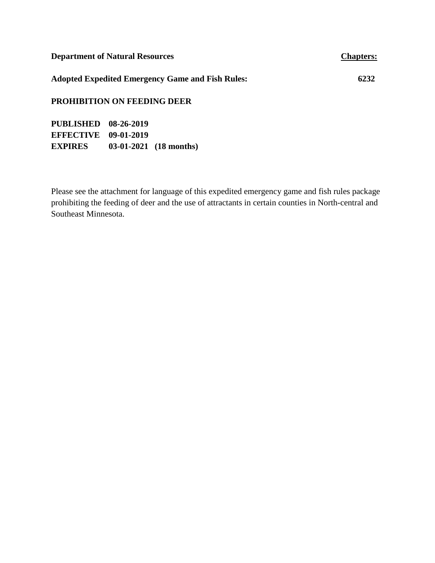| <b>Department of Natural Resources</b>                  | <b>Chapters:</b> |  |  |
|---------------------------------------------------------|------------------|--|--|
| <b>Adopted Expedited Emergency Game and Fish Rules:</b> | 6232             |  |  |
| <b>PROHIBITION ON FEEDING DEER</b>                      |                  |  |  |

**PUBLISHED 08-26-2019 EFFECTIVE 09-01-2019 EXPIRES 03-01-2021 (18 months)**

Please see the attachment for language of this expedited emergency game and fish rules package prohibiting the feeding of deer and the use of attractants in certain counties in North-central and Southeast Minnesota.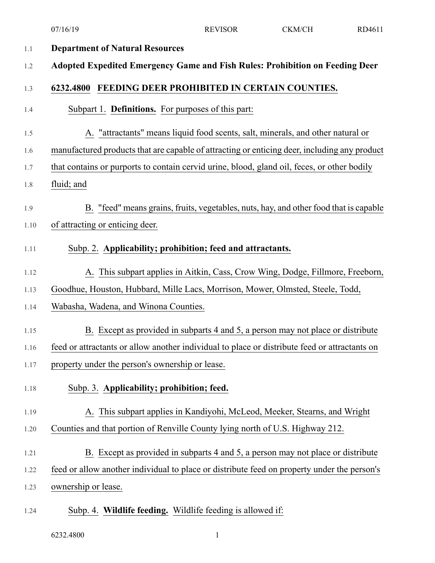|         | 07/16/19                                                                                      | <b>REVISOR</b> | CKM/CH | RD4611 |
|---------|-----------------------------------------------------------------------------------------------|----------------|--------|--------|
| $1.1\,$ | <b>Department of Natural Resources</b>                                                        |                |        |        |
| 1.2     | Adopted Expedited Emergency Game and Fish Rules: Prohibition on Feeding Deer                  |                |        |        |
| 1.3     | 6232.4800 FEEDING DEER PROHIBITED IN CERTAIN COUNTIES.                                        |                |        |        |
| 1.4     | Subpart 1. Definitions. For purposes of this part:                                            |                |        |        |
| 1.5     | A. "attractants" means liquid food scents, salt, minerals, and other natural or               |                |        |        |
| 1.6     | manufactured products that are capable of attracting or enticing deer, including any product  |                |        |        |
| 1.7     | that contains or purports to contain cervid urine, blood, gland oil, feces, or other bodily   |                |        |        |
| 1.8     | fluid; and                                                                                    |                |        |        |
| 1.9     | B. "feed" means grains, fruits, vegetables, nuts, hay, and other food that is capable         |                |        |        |
| 1.10    | of attracting or enticing deer.                                                               |                |        |        |
| 1.11    | Subp. 2. Applicability; prohibition; feed and attractants.                                    |                |        |        |
| 1.12    | A. This subpart applies in Aitkin, Cass, Crow Wing, Dodge, Fillmore, Freeborn,                |                |        |        |
| 1.13    | Goodhue, Houston, Hubbard, Mille Lacs, Morrison, Mower, Olmsted, Steele, Todd,                |                |        |        |
| 1.14    | Wabasha, Wadena, and Winona Counties.                                                         |                |        |        |
| 1.15    | B. Except as provided in subparts 4 and 5, a person may not place or distribute               |                |        |        |
| 1.16    | feed or attractants or allow another individual to place or distribute feed or attractants on |                |        |        |
| 1.17    | property under the person's ownership or lease.                                               |                |        |        |
| 1.18    | Subp. 3. Applicability; prohibition; feed.                                                    |                |        |        |
| 1.19    | A. This subpart applies in Kandiyohi, McLeod, Meeker, Stearns, and Wright                     |                |        |        |
| 1.20    | Counties and that portion of Renville County lying north of U.S. Highway 212.                 |                |        |        |
| 1.21    | B. Except as provided in subparts 4 and 5, a person may not place or distribute               |                |        |        |
| 1.22    | feed or allow another individual to place or distribute feed on property under the person's   |                |        |        |
| 1.23    | ownership or lease.                                                                           |                |        |        |
| 1.24    | Subp. 4. Wildlife feeding. Wildlife feeding is allowed if:                                    |                |        |        |

6232.4800 1